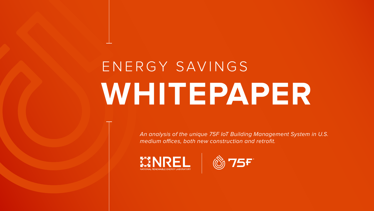*An analysis of the unique 75F IoT Building Management System in U.S. medium offices, both new construction and retrofit.*







# ENERGY SAVINGS **WHITEPAPER**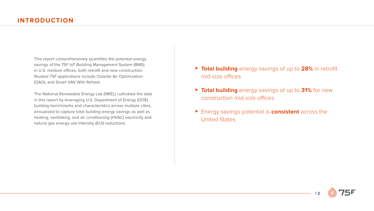

This report comprehensively quantifies the potential energy savings of the 75F IoT Building Management System (BMS) in U.S. medium offices, both retrofit and new construction. Studied 75F applications include Outside Air Optimization (OAO), and Smart VAV With Reheat.

- ▶ Total building energy savings of up to 28% in retrofit mid-size offices
- ▶ Total building energy savings of up to 31% for new construction mid-size offices
- ► Energy savings potential is **consistent** across the United States

The National Renewable Energy Lab (NREL) cultivated the data in this report by leveraging U.S. Department of Energy (DOE) building benchmarks and characteristics across multiple cities, annualized to capture total building energy savings as well as heating, ventilating, and air conditioning (HVAC) electricity and natural gas energy use intensity (EUI) reductions.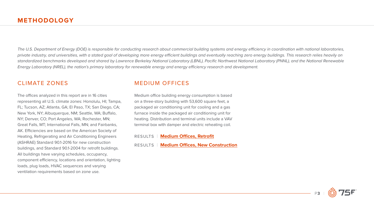

<span id="page-2-0"></span>*The U.S. Department of Energy (DOE) is responsible for conducting research about commercial building systems and energy efficiency in coordination with national laboratories, private industry, and universities, with a stated goal of developing more energy efficient buildings and eventually reaching zero energy buildings. This research relies heavily on standardized benchmarks developed and shared by Lawrence Berkeley National Laboratory (LBNL), Pacific Northwest National Laboratory (PNNL), and the National Renewable Energy Laboratory (NREL), the nation's primary laboratory for renewable energy and energy efficiency research and development.* 

### CLIMATE ZONES

The offices analyzed in this report are in 16 cities representing all U.S. climate zones: Honolulu, HI; Tampa, FL; Tucson, AZ; Atlanta, GA; El Paso, TX; San Diego, CA; New York, NY; Albuquerque, NM; Seattle, WA; Buffalo, NY; Denver, CO; Port Angeles, WA; Rochester, MN; Great Falls, MT; International Falls, MN; and Fairbanks, AK. Efficiencies are based on the American Society of Heating, Refrigerating and Air Conditioning Engineers (ASHRAE) Standard 90.1-2016 for new construction buildings, and Standard 90.1-2004 for retrofit buildings. All buildings have varying schedules, occupancy, component efficiency, locations and orientation, lighting loads, plug loads, HVAC sequences and varying ventilation requirements based on zone use.

## MEDIUM OFFICES

Medium office building energy consumption is based on a three-story building with 53,600 square feet, a packaged air conditioning unit for cooling and a gas furnace inside the packaged air conditioning unit for heating. Distribution and terminal units include a VAV terminal box with damper and electric reheating coil.

RESULTS | **Medium Offices[, Retrofit](#page-5-0)**

RESULTS | **Medium Offices[, New Construction](#page-7-0)**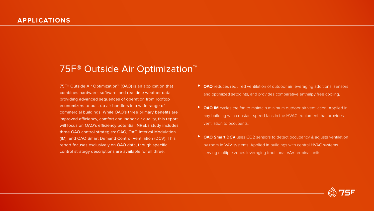75F® Outside Air Optimization™ (OAO) is an application that combines hardware, software, and real-time weather data providing advanced sequences of operation from rooftop economizers to built-up air handlers in a wide range of commercial buildings. While OAO's three primary benefits are improved efficiency, comfort and indoor air quality, this report will focus on OAO's efficiency potential. NREL's study includes three OAO control strategies: OAO, OAO Interval Modulation (IM), and OAO Smart Demand Control Ventilation (DCV). This report focuses exclusively on OAO data, though specific control strategy descriptions are available for all three.

# 75F<sup>®</sup> Outside Air Optimization<sup>™</sup>

- ⊲ **OAO** reduces required ventilation of outdoor air leveraging additional sensors and optimized setpoints, and provides comparative enthalpy free cooling.
- ▶ **OAO IM** cycles the fan to maintain minimum outdoor air ventilation. Applied in any building with constant-speed fans in the HVAC equipment that provides ventilation to occupants.
- ◆ **OAO Smart DCV** uses CO2 sensors to detect occupancy & adjusts ventilation by room in VAV systems. Applied in buildings with central HVAC systems serving multiple zones leveraging traditional VAV terminal units.

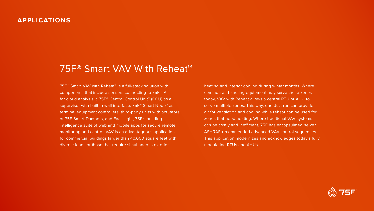# 75F<sup>®</sup> Smart VAV With Reheat<sup>™</sup>

75F® Smart VAV with Reheat™ is a full-stack solution with components that include sensors connecting to 75F's AI for cloud analysis, a 75F® Central Control Unit™ (CCU) as a supervisor with built-in wall interface, 75F<sup>®</sup> Smart Node<sup>™</sup> as terminal equipment controllers, third-party units with actuators or 75F Smart Dampers, and Facilisight, 75F's building intelligence suite of web and mobile apps for secure remote monitoring and control. VAV is an advantageous application for commercial buildings larger than 40,000 square feet with diverse loads or those that require simultaneous exterior

heating and interior cooling during winter months. Where common air handling equipment may serve these zones today, VAV with Reheat allows a central RTU or AHU to serve multiple zones. This way, one duct run can provide air for ventilation and cooling while reheat can be used for zones that need heating. Where traditional VAV systems can be costly and inefficient, 75F has encapsulated newer ASHRAE-recommended advanced VAV control sequences. This application modernizes and acknowledges today's fully modulating RTUs and AHUs.

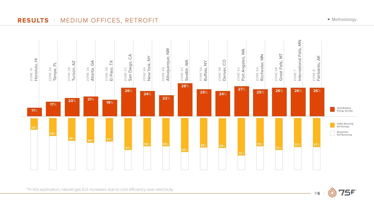P**6** |

<span id="page-5-0"></span>**RESULTS** | MEDIUM OFFICES, RETROFIT







\*In this application, natural gas EUI increases due to cost efficiency over electricity.

◆ [Methodology](#page-2-0)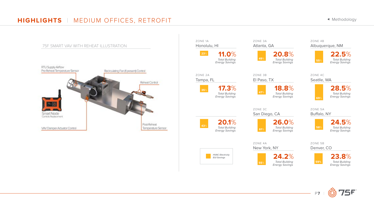P**7** |

# **HIGHLIGHTS** | MEDIUM OFFICES, RETROFIT



◆ [Methodology](#page-2-0)



75F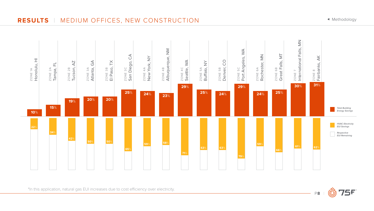P**8** |

# <span id="page-7-0"></span>**RESULTS** | MEDIUM OFFICES, NEW CONSTRUCTION







\*In this application, natural gas EUI increases due to cost efficiency over electricity.

◆ [Methodology](#page-2-0)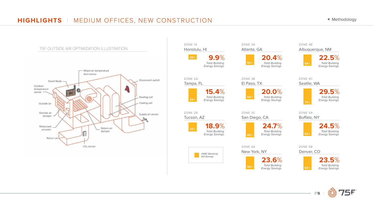

# **HIGHLIGHTS** | MEDIUM OFFICES, NEW CONSTRUCTION

### ZONE 4B Albuquerque, NM



ZONE 4C Seatlle, WA









ZONE 5B Denver, CO





⊳ [Methodology](#page-2-0)